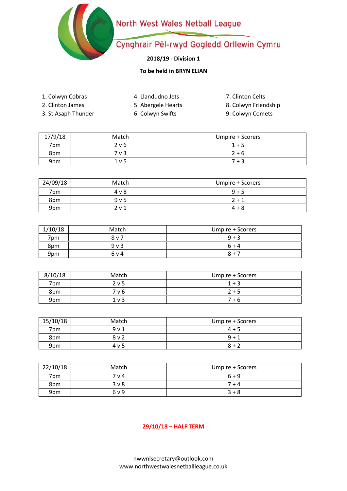### North West Wales Netball League



## Cynghrair Pêl-rwyd Gogledd Orllewin Cymru

### **2018/19 - Division 1**

### **To be held in BRYN ELIAN**

- 1. Colwyn Cobras 4. Llandudno Jets
- 2. Clinton James
- 5. Abergele Hearts
- 3. St Asaph Thunder
- 6. Colwyn Swifts
- 7. Clinton Celts
- 8. Colwyn Friendship
- 9. Colwyn Comets

| 17/9/18 | Match | Umpire + Scorers |
|---------|-------|------------------|
| 7pm     | 2 v 6 | $1 + 5$          |
| 8pm     | 7 v 3 | $2 + 6$          |
| 9pm     | 1 v 5 | $7 + 3$          |

| 24/09/18 | Match            | Umpire + Scorers |
|----------|------------------|------------------|
| 7pm.     | 4 v 8            | $9 + 5$          |
| 8pm      | 9 <sub>v</sub> 5 | $2 + 1$          |
| 9pm      | 2 <sub>v</sub> 1 | $4 + 8$          |

| 1/10/18 | Match          | Umpire + Scorers |
|---------|----------------|------------------|
| 7pm     | 8 v 7          | $9 + 3$          |
| 8pm     | 9 <sub>v</sub> | $6 + 4$          |
| 9pm     | 6 v 4          | $8 + 7$          |

| 8/10/18 | Match            | Umpire + Scorers |
|---------|------------------|------------------|
| 7pm     | 2 <sub>v</sub> 5 | $1 + 3$          |
| 8pm     | 7 v 6            | $2 + 5$          |
| 9pm     | 1 <sub>v</sub>   | 7 + 6            |

| 15/10/18 | Match            | Umpire + Scorers |
|----------|------------------|------------------|
| 7pm      | 9 <sub>v</sub> 1 | $4 + 5$          |
| 8pm      | 8 v 2            | $9 + 1$          |
| 9pm      | 4 v 5            | $8 + 2$          |

| 22/10/18 | Match            | Umpire + Scorers |
|----------|------------------|------------------|
| 7pm.     | 7 v 4            | $6 + 9$          |
| 8pm      | 3 <sub>V</sub> 8 | $7 + 4$          |
| 9pm      | 6 v 9            | $3 + 8$          |

#### **29/10/18 – HALF TERM**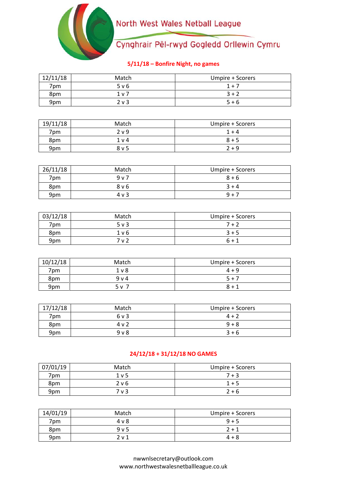## North West Wales Netball League



# Cynghrair Pêl-rwyd Gogledd Orllewin Cymru

### **5/11/18 – Bonfire Night, no games**

| 12/11/18 | Match  | Umpire + Scorers |
|----------|--------|------------------|
| 7pm      | 5 v 6  | $1 + 7$          |
| 8pm      | 1 v 7  | $3 + 2$          |
| 9pm      | $2v$ 3 | $5 + 6$          |

| 19/11/18 | Match            | Umpire + Scorers |
|----------|------------------|------------------|
| 7pm      | 2 v 9            | $1 + 4$          |
| 8pm      | 1 <sub>v</sub> 4 | $8 + 5$          |
| 9pm      | 8 v 5            | $2 + 9$          |

| 26/11/18 | Match      | Umpire + Scorers |
|----------|------------|------------------|
| 7pm      | 9v7        | $8 + 6$          |
| 8pm      | 8 v 6      | $3 + 4$          |
| 9pm      | $4 \vee 3$ | $9 + 7$          |

| 03/12/18 | Match      | Umpire + Scorers |
|----------|------------|------------------|
| 7pm      | $5 \vee 3$ | $7 + 2$          |
| 8pm      | 1 v 6      | $3 + 5$          |
| 9pm      | 7 v 2      | $6 + 1$          |

| 10/12/18        | Match  | Umpire + Scorers |
|-----------------|--------|------------------|
| 7pm             | $1v$ 8 | $4 + 9$          |
| 8pm             | 9 v 4  | $5 + 7$          |
| 9 <sub>pm</sub> | 5 v 7  | $8 + 1$          |

| 17/12/18 | Match  | Umpire + Scorers |
|----------|--------|------------------|
| 7pm      | 6 v 3  | $4 + 2$          |
| 8pm      | 4 v 2  | $9 + 8$          |
| 9pm      | $9V$ 8 | $3 + 6$          |

#### **24/12/18 + 31/12/18 NO GAMES**

| 07/01/19 | Match | Umpire + Scorers |
|----------|-------|------------------|
| 7pm      | 1 v 5 | $7 + 3$          |
| 8pm      | 2 v 6 | $1 + 5$          |
| 9pm      | 7 v 3 | $2 + 6$          |

| 14/01/19        | Match | Umpire + Scorers |
|-----------------|-------|------------------|
| 7pm             | 4 v 8 | $9 + 5$          |
| 8pm             | 9v5   | $2 + 1$          |
| 9 <sub>pm</sub> | 2 v 1 | $4 + 8$          |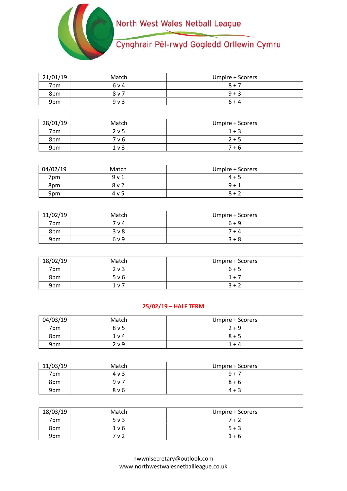

| 21/01/19 | Match          | Umpire + Scorers |
|----------|----------------|------------------|
| 7pm      | 6 v 4          | $8 + 7$          |
| 8pm      | 8 v 7          | $9 + 3$          |
| 9pm      | 9 <sub>v</sub> | $6 + 4$          |

| 28/01/19 | Match            | Umpire + Scorers |
|----------|------------------|------------------|
| 7pm      | 2 <sub>v</sub> 5 | $1 + 3$          |
| 8pm      | 7 v 6            | $2 + 5$          |
| 9pm      | 1 <sub>v</sub>   | $7 + 6$          |

| 04/02/19 | Match            | Umpire + Scorers |
|----------|------------------|------------------|
| 7pm      | 9 <sub>v</sub> 1 | $4 + 5$          |
| 8pm      | $8v$ 2           | $9 + 1$          |
| 9pm      | 4 v 5            | $8 + 2$          |

| 11/02/19 | Match | Umpire + Scorers |
|----------|-------|------------------|
| 7pm      | 7 v 4 | $6 + 9$          |
| 8pm      | 3 v 8 | 7 + 4            |
| 9pm      | 6 v 9 | $3 + 8$          |

| 18/02/19 | Match          | Umpire + Scorers |
|----------|----------------|------------------|
| 7pm      | $2v$ 3         | $6 + 5$          |
| 8pm      | 5 v 6          | $1 + 7$          |
| 9pm      | 1 <sub>v</sub> | $3 + 2$          |

#### **25/02/19 – HALF TERM**

| 04/03/19 | Match            | Umpire + Scorers |
|----------|------------------|------------------|
| 7pm      | 8 v 5            | $2 + 9$          |
| 8pm      | 1 v 4            | $8 + 5$          |
| 9pm      | 2 <sub>v</sub> 9 | $1 + 4$          |

| 11/03/19 | Match | Umpire + Scorers |
|----------|-------|------------------|
| 7pm      | 4 v 3 | $9 + 7$          |
| 8pm      | 9v7   | $8 + 6$          |
| 9pm      | 8 v 6 | $4 + 3$          |

| 18/03/19 | Match  | Umpire + Scorers |
|----------|--------|------------------|
| 7pm      | $5v$ 3 | 7 + 2            |
| 8pm      | 1 v 6  | $5 + 3$          |
| 9pm      | 7 v 2  | 1 + 6            |

nwwnlsecretary@outlook.com www.northwestwalesnetballleague.co.uk